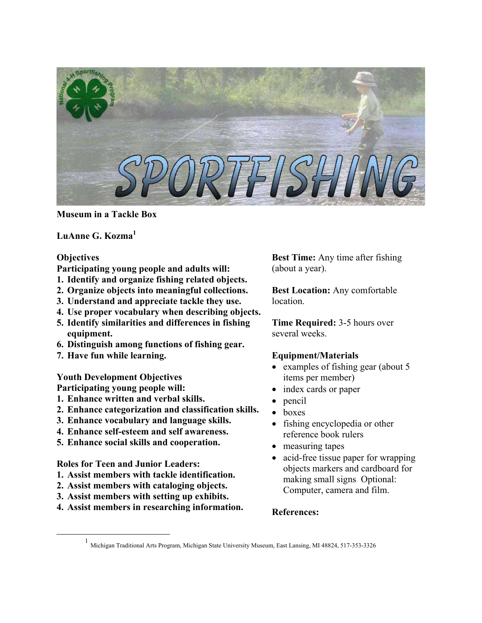

**Museum in a Tackle Box**

**LuAnne G. Kozma[1](#page-0-0)**

#### **Objectives**

**Participating young people and adults will:**

- **1. Identify and organize fishing related objects.**
- **2. Organize objects into meaningful collections.**
- **3. Understand and appreciate tackle they use.**
- **4. Use proper vocabulary when describing objects.**
- **5. Identify similarities and differences in fishing equipment.**
- **6. Distinguish among functions of fishing gear.**
- **7. Have fun while learning.**

#### **Youth Development Objectives**

**Participating young people will:** 

- **1. Enhance written and verbal skills.**
- **2. Enhance categorization and classification skills.**
- **3. Enhance vocabulary and language skills.**
- **4. Enhance self-esteem and self awareness.**
- **5. Enhance social skills and cooperation.**

**Roles for Teen and Junior Leaders:**

- **1. Assist members with tackle identification.**
- **2. Assist members with cataloging objects.**
- **3. Assist members with setting up exhibits.**
- **4. Assist members in researching information.**

**Best Time:** Any time after fishing (about a year).

**Best Location:** Any comfortable location.

**Time Required:** 3-5 hours over several weeks.

#### **Equipment/Materials**

- examples of fishing gear (about 5) items per member)
- index cards or paper
- pencil
- boxes
- fishing encyclopedia or other reference book rulers
- measuring tapes
- acid-free tissue paper for wrapping objects markers and cardboard for making small signs Optional: Computer, camera and film.

## **References:**

<span id="page-0-0"></span><sup>&</sup>lt;u>1</u> 1 Michigan Traditional Arts Program, Michigan State University Museum, East Lansing, MI 48824, 517-353-3326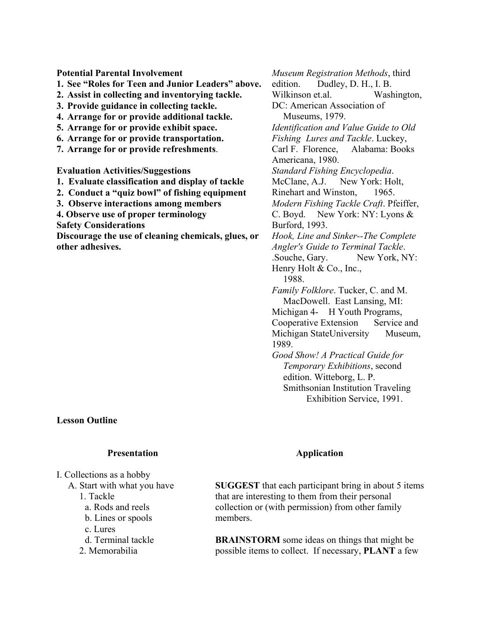**Potential Parental Involvement 1. See "Roles for Teen and Junior Leaders" above. 2. Assist in collecting and inventorying tackle. 3. Provide guidance in collecting tackle. 4. Arrange for or provide additional tackle. 5. Arrange for or provide exhibit space. 6. Arrange for or provide transportation. 7. Arrange for or provide refreshments**. **Evaluation Activities/Suggestions 1. Evaluate classification and display of tackle 2. Conduct a "quiz bowl" of fishing equipment 3. Observe interactions among members 4. Observe use of proper terminology Safety Considerations Discourage the use of cleaning chemicals, glues, or other adhesives.** 

**Lesson Outline** 

#### **Presentation**

I. Collections as a hobby A. Start with what you have

- 1. Tackle
- a. Rods and reels
- b. Lines or spools
- c. Lures
- d. Terminal tackle
- 2. Memorabilia

*Museum Registration Methods*, third edition. Dudley, D. H., I. B. Wilkinson et.al. Washington, DC: American Association of Museums, 1979. *Identification and Value Guide to Old Fishing Lures and Tackle*. Luckey, Carl F. Florence, Alabama: Books Americana, 1980. *Standard Fishing Encyclopedia*. McClane, A.J. New York: Holt, Rinehart and Winston, 1965. *Modern Fishing Tackle Craft*. Pfeiffer, C. Boyd. New York: NY: Lyons & Burford, 1993. *Hook, Line and Sinker--The Complete Angler's Guide to Terminal Tackle*. .Souche, Gary. New York, NY: Henry Holt & Co., Inc., 1988. *Family Folklore*. Tucker, C. and M. MacDowell. East Lansing, MI: Michigan 4- H Youth Programs, Cooperative Extension Service and Michigan StateUniversity Museum, 1989. *Good Show! A Practical Guide for Temporary Exhibitions*, second

edition. Witteborg, L. P. Smithsonian Institution Traveling Exhibition Service, 1991.

## **Application**

**SUGGEST** that each participant bring in about 5 items that are interesting to them from their personal collection or (with permission) from other family members.

**BRAINSTORM** some ideas on things that might be possible items to collect. If necessary, **PLANT** a few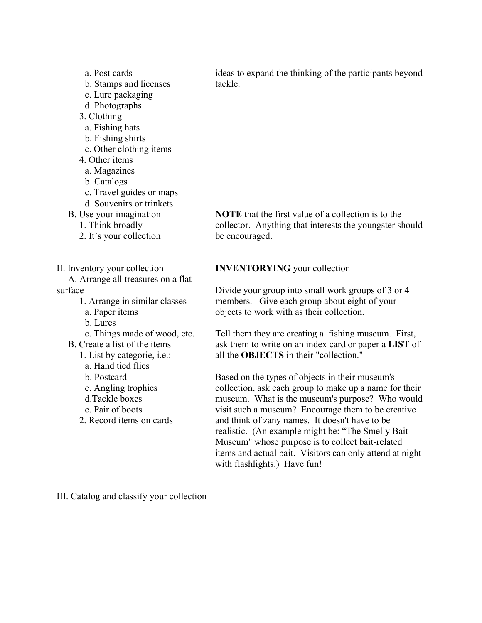a. Post cards b. Stamps and licenses c. Lure packaging d. Photographs 3. Clothing a. Fishing hats b. Fishing shirts c. Other clothing items 4. Other items a. Magazines b. Catalogs c. Travel guides or maps d. Souvenirs or trinkets B. Use your imagination 1. Think broadly 2. It's your collection II. Inventory your collection A. Arrange all treasures on a flat surface 1. Arrange in similar classes a. Paper items b. Lures c. Things made of wood, etc. B. Create a list of the items 1. List by categorie, i.e.: a. Hand tied flies b. Postcard c. Angling trophies d.Tackle boxes e. Pair of boots 2. Record items on cards

ideas to expand the thinking of the participants beyond tackle.

**NOTE** that the first value of a collection is to the collector. Anything that interests the youngster should be encouraged.

#### **INVENTORYING** your collection

Divide your group into small work groups of 3 or 4 members. Give each group about eight of your objects to work with as their collection.

Tell them they are creating a fishing museum. First, ask them to write on an index card or paper a **LIST** of all the **OBJECTS** in their "collection."

Based on the types of objects in their museum's collection, ask each group to make up a name for their museum. What is the museum's purpose? Who would visit such a museum? Encourage them to be creative and think of zany names. It doesn't have to be realistic. (An example might be: "The Smelly Bait Museum" whose purpose is to collect bait-related items and actual bait. Visitors can only attend at night with flashlights.) Have fun!

III. Catalog and classify your collection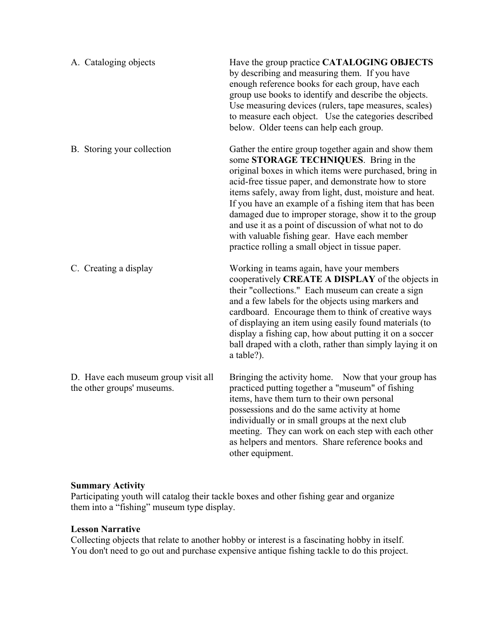| A. Cataloging objects                                             | Have the group practice CATALOGING OBJECTS<br>by describing and measuring them. If you have<br>enough reference books for each group, have each<br>group use books to identify and describe the objects.<br>Use measuring devices (rulers, tape measures, scales)<br>to measure each object. Use the categories described<br>below. Older teens can help each group.                                                                                                                                                                                       |
|-------------------------------------------------------------------|------------------------------------------------------------------------------------------------------------------------------------------------------------------------------------------------------------------------------------------------------------------------------------------------------------------------------------------------------------------------------------------------------------------------------------------------------------------------------------------------------------------------------------------------------------|
| B. Storing your collection                                        | Gather the entire group together again and show them<br>some STORAGE TECHNIQUES. Bring in the<br>original boxes in which items were purchased, bring in<br>acid-free tissue paper, and demonstrate how to store<br>items safely, away from light, dust, moisture and heat.<br>If you have an example of a fishing item that has been<br>damaged due to improper storage, show it to the group<br>and use it as a point of discussion of what not to do<br>with valuable fishing gear. Have each member<br>practice rolling a small object in tissue paper. |
| C. Creating a display                                             | Working in teams again, have your members<br>cooperatively CREATE A DISPLAY of the objects in<br>their "collections." Each museum can create a sign<br>and a few labels for the objects using markers and<br>cardboard. Encourage them to think of creative ways<br>of displaying an item using easily found materials (to<br>display a fishing cap, how about putting it on a soccer<br>ball draped with a cloth, rather than simply laying it on<br>a table?).                                                                                           |
| D. Have each museum group visit all<br>the other groups' museums. | Bringing the activity home. Now that your group has<br>practiced putting together a "museum" of fishing<br>items, have them turn to their own personal<br>possessions and do the same activity at home<br>individually or in small groups at the next club<br>meeting. They can work on each step with each other<br>as helpers and mentors. Share reference books and<br>other equipment.                                                                                                                                                                 |

## **Summary Activity**

Participating youth will catalog their tackle boxes and other fishing gear and organize them into a "fishing" museum type display.

## **Lesson Narrative**

Collecting objects that relate to another hobby or interest is a fascinating hobby in itself. You don't need to go out and purchase expensive antique fishing tackle to do this project.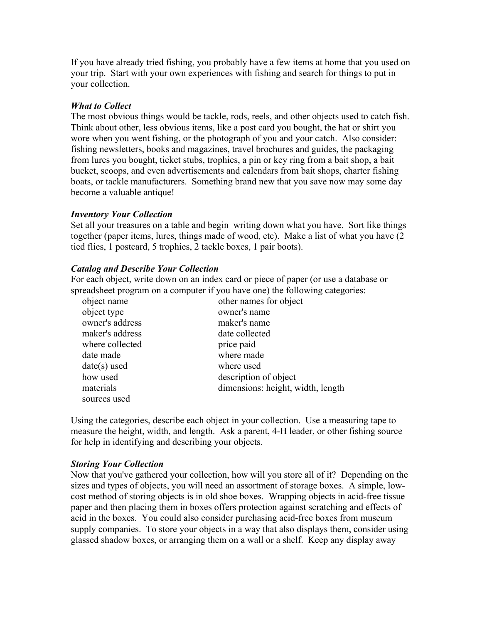If you have already tried fishing, you probably have a few items at home that you used on your trip. Start with your own experiences with fishing and search for things to put in your collection.

### *What to Collect*

The most obvious things would be tackle, rods, reels, and other objects used to catch fish. Think about other, less obvious items, like a post card you bought, the hat or shirt you wore when you went fishing, or the photograph of you and your catch. Also consider: fishing newsletters, books and magazines, travel brochures and guides, the packaging from lures you bought, ticket stubs, trophies, a pin or key ring from a bait shop, a bait bucket, scoops, and even advertisements and calendars from bait shops, charter fishing boats, or tackle manufacturers. Something brand new that you save now may some day become a valuable antique!

### *Inventory Your Collection*

Set all your treasures on a table and begin writing down what you have. Sort like things together (paper items, lures, things made of wood, etc). Make a list of what you have (2 tied flies, 1 postcard, 5 trophies, 2 tackle boxes, 1 pair boots).

### *Catalog and Describe Your Collection*

For each object, write down on an index card or piece of paper (or use a database or spreadsheet program on a computer if you have one) the following categories:

| object name     | other names for object            |
|-----------------|-----------------------------------|
| object type     | owner's name                      |
| owner's address | maker's name                      |
| maker's address | date collected                    |
| where collected | price paid                        |
| date made       | where made                        |
| $date(s)$ used  | where used                        |
| how used        | description of object             |
| materials       | dimensions: height, width, length |
| sources used    |                                   |

Using the categories, describe each object in your collection. Use a measuring tape to measure the height, width, and length. Ask a parent, 4-H leader, or other fishing source for help in identifying and describing your objects.

#### *Storing Your Collection*

Now that you've gathered your collection, how will you store all of it? Depending on the sizes and types of objects, you will need an assortment of storage boxes. A simple, lowcost method of storing objects is in old shoe boxes. Wrapping objects in acid-free tissue paper and then placing them in boxes offers protection against scratching and effects of acid in the boxes. You could also consider purchasing acid-free boxes from museum supply companies. To store your objects in a way that also displays them, consider using glassed shadow boxes, or arranging them on a wall or a shelf. Keep any display away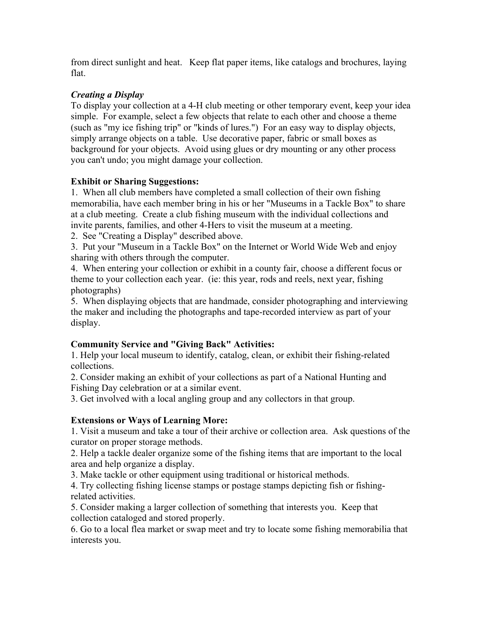from direct sunlight and heat. Keep flat paper items, like catalogs and brochures, laying flat.

# *Creating a Display*

To display your collection at a 4-H club meeting or other temporary event, keep your idea simple. For example, select a few objects that relate to each other and choose a theme (such as "my ice fishing trip" or "kinds of lures.") For an easy way to display objects, simply arrange objects on a table. Use decorative paper, fabric or small boxes as background for your objects. Avoid using glues or dry mounting or any other process you can't undo; you might damage your collection.

## **Exhibit or Sharing Suggestions:**

1. When all club members have completed a small collection of their own fishing memorabilia, have each member bring in his or her "Museums in a Tackle Box" to share at a club meeting. Create a club fishing museum with the individual collections and invite parents, families, and other 4-Hers to visit the museum at a meeting.

2. See "Creating a Display" described above.

3. Put your "Museum in a Tackle Box" on the Internet or World Wide Web and enjoy sharing with others through the computer.

4. When entering your collection or exhibit in a county fair, choose a different focus or theme to your collection each year. (ie: this year, rods and reels, next year, fishing photographs)

5. When displaying objects that are handmade, consider photographing and interviewing the maker and including the photographs and tape-recorded interview as part of your display.

# **Community Service and "Giving Back" Activities:**

1. Help your local museum to identify, catalog, clean, or exhibit their fishing-related collections.

2. Consider making an exhibit of your collections as part of a National Hunting and Fishing Day celebration or at a similar event.

3. Get involved with a local angling group and any collectors in that group.

## **Extensions or Ways of Learning More:**

1. Visit a museum and take a tour of their archive or collection area. Ask questions of the curator on proper storage methods.

2. Help a tackle dealer organize some of the fishing items that are important to the local area and help organize a display.

3. Make tackle or other equipment using traditional or historical methods.

4. Try collecting fishing license stamps or postage stamps depicting fish or fishingrelated activities.

5. Consider making a larger collection of something that interests you. Keep that collection cataloged and stored properly.

6. Go to a local flea market or swap meet and try to locate some fishing memorabilia that interests you.